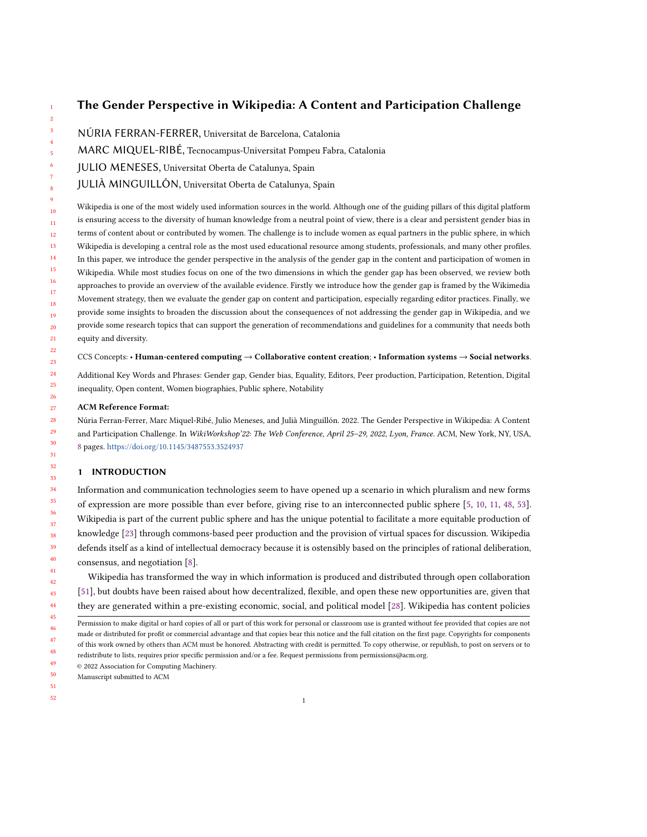# The Gender Perspective in Wikipedia: A Content and Participation Challenge

- NÚRIA FERRAN-FERRER, Universitat de Barcelona, Catalonia
- MARC MIQUEL-RIBÉ, Tecnocampus-Universitat Pompeu Fabra, Catalonia
- JULIO MENESES, Universitat Oberta de Catalunya, Spain
- JULIÀ MINGUILLÓN, Universitat Oberta de Catalunya, Spain

10 11 12 13 14 15 16 17 18 19 20 21 Wikipedia is one of the most widely used information sources in the world. Although one of the guiding pillars of this digital platform is ensuring access to the diversity of human knowledge from a neutral point of view, there is a clear and persistent gender bias in terms of content about or contributed by women. The challenge is to include women as equal partners in the public sphere, in which Wikipedia is developing a central role as the most used educational resource among students, professionals, and many other profiles. In this paper, we introduce the gender perspective in the analysis of the gender gap in the content and participation of women in Wikipedia. While most studies focus on one of the two dimensions in which the gender gap has been observed, we review both approaches to provide an overview of the available evidence. Firstly we introduce how the gender gap is framed by the Wikimedia Movement strategy, then we evaluate the gender gap on content and participation, especially regarding editor practices. Finally, we provide some insights to broaden the discussion about the consequences of not addressing the gender gap in Wikipedia, and we provide some research topics that can support the generation of recommendations and guidelines for a community that needs both equity and diversity.

CCS Concepts: • Human-centered computing → Collaborative content creation; • Information systems → Social networks.

Additional Key Words and Phrases: Gender gap, Gender bias, Equality, Editors, Peer production, Participation, Retention, Digital inequality, Open content, Women biographies, Public sphere, Notability

### ACM Reference Format:

Núria Ferran-Ferrer, Marc Miquel-Ribé, Julio Meneses, and Julià Minguillón. 2022. The Gender Perspective in Wikipedia: A Content and Participation Challenge. In WikiWorkshop'22: The Web Conference, April 25–29, 2022, Lyon, France. ACM, New York, NY, USA, [8](#page-7-0) pages. <https://doi.org/10.1145/3487553.3524937>

## 1 INTRODUCTION

Information and communication technologies seem to have opened up a scenario in which pluralism and new forms of expression are more possible than ever before, giving rise to an interconnected public sphere [\[5,](#page-5-0) [10,](#page-5-1) [11,](#page-5-2) [48,](#page-7-1) [53\]](#page-7-2). Wikipedia is part of the current public sphere and has the unique potential to facilitate a more equitable production of knowledge [\[23\]](#page-6-0) through commons-based peer production and the provision of virtual spaces for discussion. Wikipedia defends itself as a kind of intellectual democracy because it is ostensibly based on the principles of rational deliberation, consensus, and negotiation [\[8\]](#page-5-3).

Wikipedia has transformed the way in which information is produced and distributed through open collaboration [\[51\]](#page-7-3), but doubts have been raised about how decentralized, flexible, and open these new opportunities are, given that they are generated within a pre-existing economic, social, and political model [\[28\]](#page-6-1). Wikipedia has content policies

49 © 2022 Association for Computing Machinery.

50 Manuscript submitted to ACM

51 52

<sup>46</sup> 47 48 Permission to make digital or hard copies of all or part of this work for personal or classroom use is granted without fee provided that copies are not made or distributed for profit or commercial advantage and that copies bear this notice and the full citation on the first page. Copyrights for components of this work owned by others than ACM must be honored. Abstracting with credit is permitted. To copy otherwise, or republish, to post on servers or to redistribute to lists, requires prior specific permission and/or a fee. Request permissions from permissions@acm.org.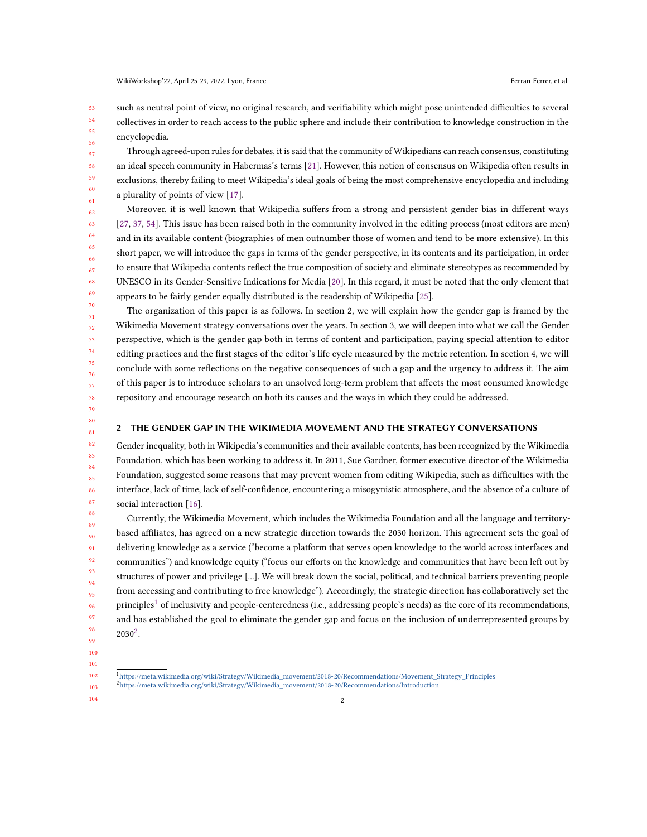53 54 55 56 such as neutral point of view, no original research, and verifiability which might pose unintended difficulties to several collectives in order to reach access to the public sphere and include their contribution to knowledge construction in the encyclopedia.

Through agreed-upon rules for debates, it is said that the community of Wikipedians can reach consensus, constituting an ideal speech community in Habermas's terms [\[21\]](#page-6-2). However, this notion of consensus on Wikipedia often results in exclusions, thereby failing to meet Wikipedia's ideal goals of being the most comprehensive encyclopedia and including a plurality of points of view [\[17\]](#page-6-3).

Moreover, it is well known that Wikipedia suffers from a strong and persistent gender bias in different ways [\[27,](#page-6-4) [37,](#page-6-5) [54\]](#page-7-4). This issue has been raised both in the community involved in the editing process (most editors are men) and in its available content (biographies of men outnumber those of women and tend to be more extensive). In this short paper, we will introduce the gaps in terms of the gender perspective, in its contents and its participation, in order to ensure that Wikipedia contents reflect the true composition of society and eliminate stereotypes as recommended by UNESCO in its Gender-Sensitive Indications for Media [\[20\]](#page-6-6). In this regard, it must be noted that the only element that appears to be fairly gender equally distributed is the readership of Wikipedia [\[25\]](#page-6-7).

The organization of this paper is as follows. In section 2, we will explain how the gender gap is framed by the Wikimedia Movement strategy conversations over the years. In section 3, we will deepen into what we call the Gender perspective, which is the gender gap both in terms of content and participation, paying special attention to editor editing practices and the first stages of the editor's life cycle measured by the metric retention. In section 4, we will conclude with some reflections on the negative consequences of such a gap and the urgency to address it. The aim of this paper is to introduce scholars to an unsolved long-term problem that affects the most consumed knowledge repository and encourage research on both its causes and the ways in which they could be addressed.

78 79

80 81

#### 2 THE GENDER GAP IN THE WIKIMEDIA MOVEMENT AND THE STRATEGY CONVERSATIONS

82 83 84 85 86 Gender inequality, both in Wikipedia's communities and their available contents, has been recognized by the Wikimedia Foundation, which has been working to address it. In 2011, Sue Gardner, former executive director of the Wikimedia Foundation, suggested some reasons that may prevent women from editing Wikipedia, such as difficulties with the interface, lack of time, lack of self-confidence, encountering a misogynistic atmosphere, and the absence of a culture of social interaction [\[16\]](#page-6-8).

Currently, the Wikimedia Movement, which includes the Wikimedia Foundation and all the language and territorybased affiliates, has agreed on a new strategic direction towards the 2030 horizon. This agreement sets the goal of delivering knowledge as a service ("become a platform that serves open knowledge to the world across interfaces and communities") and knowledge equity ("focus our efforts on the knowledge and communities that have been left out by structures of power and privilege [...]. We will break down the social, political, and technical barriers preventing people from accessing and contributing to free knowledge"). Accordingly, the strategic direction has collaboratively set the principles<sup>[1](#page-1-0)</sup> of inclusivity and people-centeredness (i.e., addressing people's needs) as the core of its recommendations, and has established the goal to eliminate the gender gap and focus on the inclusion of underrepresented groups by  $2030^2$  $2030^2$ .

- 99 100
- 101 102

<span id="page-1-1"></span><span id="page-1-0"></span><sup>&</sup>lt;sup>1</sup>[https://meta.wikimedia.org/wiki/Strategy/Wikimedia\\_movement/2018-20/Recommendations/Movement\\_Strategy\\_Principles](https://meta.wikimedia.org/wiki/Strategy/Wikimedia_movement/2018-20/Recommendations/Movement_Strategy_Principles) <sup>2</sup>[https://meta.wikimedia.org/wiki/Strategy/Wikimedia\\_movement/2018-20/Recommendations/Introduction](https://meta.wikimedia.org/wiki/Strategy/Wikimedia_movement/2018-20/Recommendations/Introduction)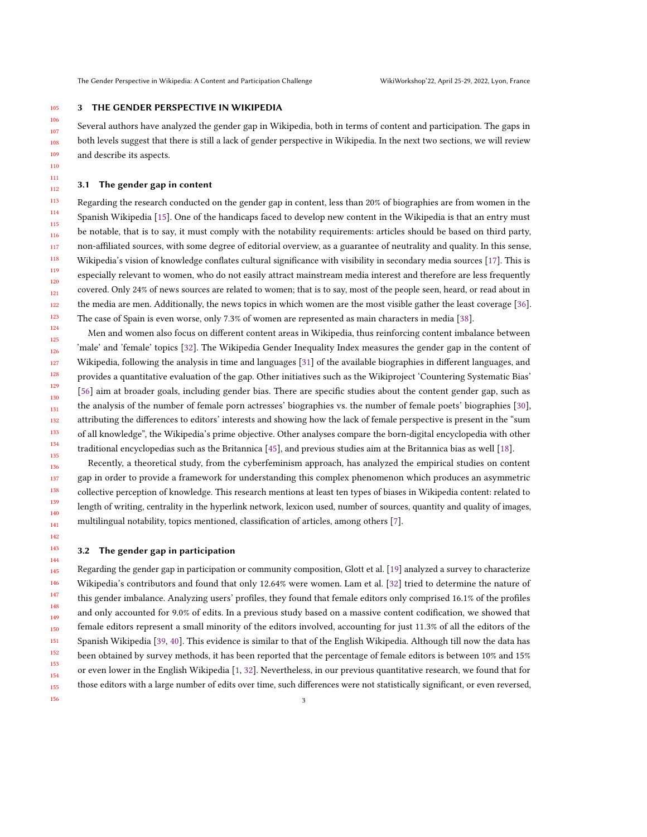#### 105 3 THE GENDER PERSPECTIVE IN WIKIPEDIA

Several authors have analyzed the gender gap in Wikipedia, both in terms of content and participation. The gaps in both levels suggest that there is still a lack of gender perspective in Wikipedia. In the next two sections, we will review and describe its aspects.

### 3.1 The gender gap in content

156

113 114 115 116 117 118 119 120 121 122 123 Regarding the research conducted on the gender gap in content, less than 20% of biographies are from women in the Spanish Wikipedia [\[15\]](#page-6-9). One of the handicaps faced to develop new content in the Wikipedia is that an entry must be notable, that is to say, it must comply with the notability requirements: articles should be based on third party, non-affiliated sources, with some degree of editorial overview, as a guarantee of neutrality and quality. In this sense, Wikipedia's vision of knowledge conflates cultural significance with visibility in secondary media sources [\[17\]](#page-6-3). This is especially relevant to women, who do not easily attract mainstream media interest and therefore are less frequently covered. Only 24% of news sources are related to women; that is to say, most of the people seen, heard, or read about in the media are men. Additionally, the news topics in which women are the most visible gather the least coverage [\[36\]](#page-6-10). The case of Spain is even worse, only 7.3% of women are represented as main characters in media [\[38\]](#page-6-11).

124 125 126 127 128 129 130 131 132 133 134 135 Men and women also focus on different content areas in Wikipedia, thus reinforcing content imbalance between 'male' and 'female' topics [\[32\]](#page-6-12). The Wikipedia Gender Inequality Index measures the gender gap in the content of Wikipedia, following the analysis in time and languages [\[31\]](#page-6-13) of the available biographies in different languages, and provides a quantitative evaluation of the gap. Other initiatives such as the Wikiproject 'Countering Systematic Bias' [\[56\]](#page-7-5) aim at broader goals, including gender bias. There are specific studies about the content gender gap, such as the analysis of the number of female porn actresses' biographies vs. the number of female poets' biographies [\[30\]](#page-6-14), attributing the differences to editors' interests and showing how the lack of female perspective is present in the "sum of all knowledge", the Wikipedia's prime objective. Other analyses compare the born-digital encyclopedia with other traditional encyclopedias such as the Britannica [\[45\]](#page-6-15), and previous studies aim at the Britannica bias as well [\[18\]](#page-6-16).

Recently, a theoretical study, from the cyberfeminism approach, has analyzed the empirical studies on content gap in order to provide a framework for understanding this complex phenomenon which produces an asymmetric collective perception of knowledge. This research mentions at least ten types of biases in Wikipedia content: related to length of writing, centrality in the hyperlink network, lexicon used, number of sources, quantity and quality of images, multilingual notability, topics mentioned, classification of articles, among others [\[7\]](#page-5-4).

#### 3.2 The gender gap in participation

145 146 147 148 149 150 151 152 153 154 155 Regarding the gender gap in participation or community composition, Glott et al. [\[19\]](#page-6-17) analyzed a survey to characterize Wikipedia's contributors and found that only 12.64% were women. Lam et al. [\[32\]](#page-6-12) tried to determine the nature of this gender imbalance. Analyzing users' profiles, they found that female editors only comprised 16.1% of the profiles and only accounted for 9.0% of edits. In a previous study based on a massive content codification, we showed that female editors represent a small minority of the editors involved, accounting for just 11.3% of all the editors of the Spanish Wikipedia [\[39,](#page-6-18) [40\]](#page-6-19). This evidence is similar to that of the English Wikipedia. Although till now the data has been obtained by survey methods, it has been reported that the percentage of female editors is between 10% and 15% or even lower in the English Wikipedia [\[1,](#page-5-5) [32\]](#page-6-12). Nevertheless, in our previous quantitative research, we found that for those editors with a large number of edits over time, such differences were not statistically significant, or even reversed,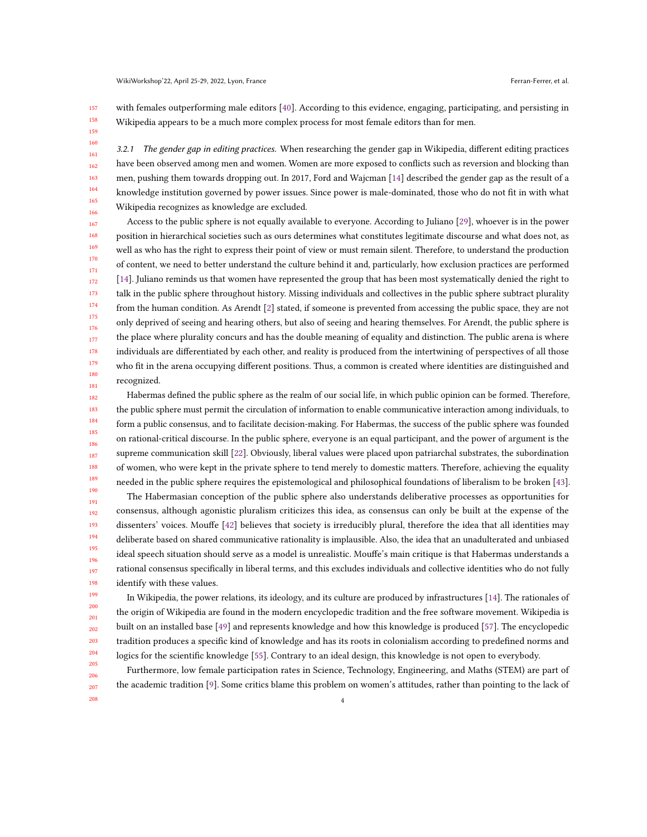157 158 with females outperforming male editors [\[40\]](#page-6-19). According to this evidence, engaging, participating, and persisting in Wikipedia appears to be a much more complex process for most female editors than for men.

159 160 161

208

3.2.1 The gender gap in editing practices. When researching the gender gap in Wikipedia, different editing practices have been observed among men and women. Women are more exposed to conflicts such as reversion and blocking than men, pushing them towards dropping out. In 2017, Ford and Wajcman [\[14\]](#page-6-20) described the gender gap as the result of a knowledge institution governed by power issues. Since power is male-dominated, those who do not fit in with what Wikipedia recognizes as knowledge are excluded.

167 168 169 170 171 172 173 174 175 176 177 178 179 180 181 Access to the public sphere is not equally available to everyone. According to Juliano [\[29\]](#page-6-21), whoever is in the power position in hierarchical societies such as ours determines what constitutes legitimate discourse and what does not, as well as who has the right to express their point of view or must remain silent. Therefore, to understand the production of content, we need to better understand the culture behind it and, particularly, how exclusion practices are performed [\[14\]](#page-6-20). Juliano reminds us that women have represented the group that has been most systematically denied the right to talk in the public sphere throughout history. Missing individuals and collectives in the public sphere subtract plurality from the human condition. As Arendt [\[2\]](#page-5-6) stated, if someone is prevented from accessing the public space, they are not only deprived of seeing and hearing others, but also of seeing and hearing themselves. For Arendt, the public sphere is the place where plurality concurs and has the double meaning of equality and distinction. The public arena is where individuals are differentiated by each other, and reality is produced from the intertwining of perspectives of all those who fit in the arena occupying different positions. Thus, a common is created where identities are distinguished and recognized.

182 183 184 185 186 187 188 189 190 Habermas defined the public sphere as the realm of our social life, in which public opinion can be formed. Therefore, the public sphere must permit the circulation of information to enable communicative interaction among individuals, to form a public consensus, and to facilitate decision-making. For Habermas, the success of the public sphere was founded on rational-critical discourse. In the public sphere, everyone is an equal participant, and the power of argument is the supreme communication skill [\[22\]](#page-6-22). Obviously, liberal values were placed upon patriarchal substrates, the subordination of women, who were kept in the private sphere to tend merely to domestic matters. Therefore, achieving the equality needed in the public sphere requires the epistemological and philosophical foundations of liberalism to be broken [\[43\]](#page-6-23).

191 192 193 194 195 196 197 198 The Habermasian conception of the public sphere also understands deliberative processes as opportunities for consensus, although agonistic pluralism criticizes this idea, as consensus can only be built at the expense of the dissenters' voices. Mouffe [\[42\]](#page-6-24) believes that society is irreducibly plural, therefore the idea that all identities may deliberate based on shared communicative rationality is implausible. Also, the idea that an unadulterated and unbiased ideal speech situation should serve as a model is unrealistic. Mouffe's main critique is that Habermas understands a rational consensus specifically in liberal terms, and this excludes individuals and collective identities who do not fully identify with these values.

In Wikipedia, the power relations, its ideology, and its culture are produced by infrastructures [\[14\]](#page-6-20). The rationales of the origin of Wikipedia are found in the modern encyclopedic tradition and the free software movement. Wikipedia is built on an installed base [\[49\]](#page-7-6) and represents knowledge and how this knowledge is produced [\[57\]](#page-7-7). The encyclopedic tradition produces a specific kind of knowledge and has its roots in colonialism according to predefined norms and logics for the scientific knowledge [\[55\]](#page-7-8). Contrary to an ideal design, this knowledge is not open to everybody.

205 206 207 Furthermore, low female participation rates in Science, Technology, Engineering, and Maths (STEM) are part of the academic tradition [\[9\]](#page-5-7). Some critics blame this problem on women's attitudes, rather than pointing to the lack of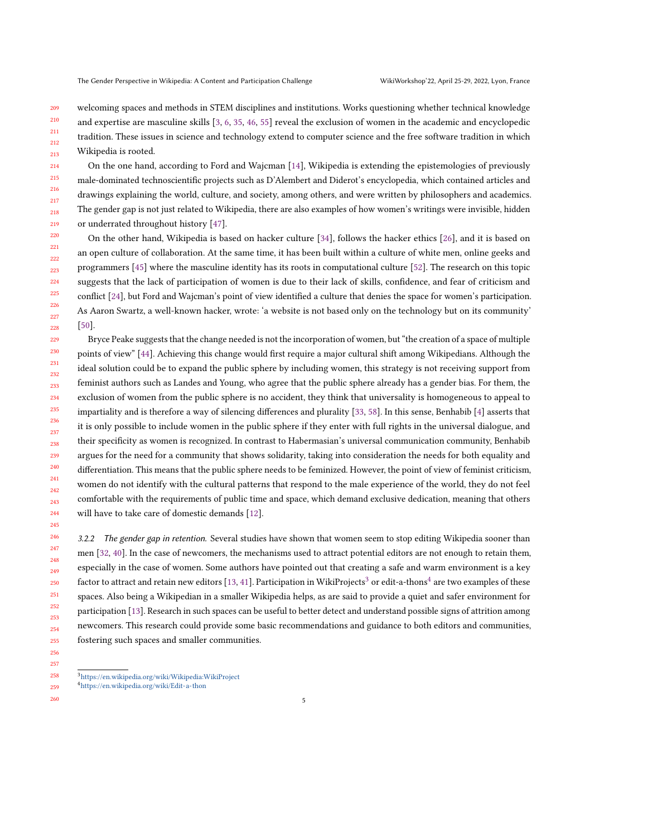209 210 211 212 213 welcoming spaces and methods in STEM disciplines and institutions. Works questioning whether technical knowledge and expertise are masculine skills [\[3,](#page-5-8) [6,](#page-5-9) [35,](#page-6-25) [46,](#page-7-9) [55\]](#page-7-8) reveal the exclusion of women in the academic and encyclopedic tradition. These issues in science and technology extend to computer science and the free software tradition in which Wikipedia is rooted.

214 On the one hand, according to Ford and Wajcman [\[14\]](#page-6-20), Wikipedia is extending the epistemologies of previously male-dominated technoscientific projects such as D'Alembert and Diderot's encyclopedia, which contained articles and drawings explaining the world, culture, and society, among others, and were written by philosophers and academics. The gender gap is not just related to Wikipedia, there are also examples of how women's writings were invisible, hidden or underrated throughout history [\[47\]](#page-7-10).

220 221 222 223 224 225 226 On the other hand, Wikipedia is based on hacker culture [\[34\]](#page-6-26), follows the hacker ethics [\[26\]](#page-6-27), and it is based on an open culture of collaboration. At the same time, it has been built within a culture of white men, online geeks and programmers [\[45\]](#page-6-15) where the masculine identity has its roots in computational culture [\[52\]](#page-7-11). The research on this topic suggests that the lack of participation of women is due to their lack of skills, confidence, and fear of criticism and conflict [\[24\]](#page-6-28), but Ford and Wajcman's point of view identified a culture that denies the space for women's participation. As Aaron Swartz, a well-known hacker, wrote: 'a website is not based only on the technology but on its community' [\[50\]](#page-7-12).

229 230 231 232 233 234 235 236 237 238 239 240 241 242 243 244 Bryce Peake suggests that the change needed is not the incorporation of women, but "the creation of a space of multiple points of view" [\[44\]](#page-6-29). Achieving this change would first require a major cultural shift among Wikipedians. Although the ideal solution could be to expand the public sphere by including women, this strategy is not receiving support from feminist authors such as Landes and Young, who agree that the public sphere already has a gender bias. For them, the exclusion of women from the public sphere is no accident, they think that universality is homogeneous to appeal to impartiality and is therefore a way of silencing differences and plurality [\[33,](#page-6-30) [58\]](#page-7-13). In this sense, Benhabib [\[4\]](#page-5-10) asserts that it is only possible to include women in the public sphere if they enter with full rights in the universal dialogue, and their specificity as women is recognized. In contrast to Habermasian's universal communication community, Benhabib argues for the need for a community that shows solidarity, taking into consideration the needs for both equality and differentiation. This means that the public sphere needs to be feminized. However, the point of view of feminist criticism, women do not identify with the cultural patterns that respond to the male experience of the world, they do not feel comfortable with the requirements of public time and space, which demand exclusive dedication, meaning that others will have to take care of domestic demands [\[12\]](#page-5-11).

246 247 248 249 250 251 252 253 254 255 3.2.2 The gender gap in retention. Several studies have shown that women seem to stop editing Wikipedia sooner than men [\[32,](#page-6-12) [40\]](#page-6-19). In the case of newcomers, the mechanisms used to attract potential editors are not enough to retain them, especially in the case of women. Some authors have pointed out that creating a safe and warm environment is a key factor to attract and retain new editors [\[13,](#page-6-31) [41\]](#page-6-32). Participation in WikiProjects $^3$  $^3$  or edit-a-thons $^4$  $^4$  are two examples of these spaces. Also being a Wikipedian in a smaller Wikipedia helps, as are said to provide a quiet and safer environment for participation [\[13\]](#page-6-31). Research in such spaces can be useful to better detect and understand possible signs of attrition among newcomers. This research could provide some basic recommendations and guidance to both editors and communities, fostering such spaces and smaller communities.

256 257 258

245

<span id="page-4-1"></span><span id="page-4-0"></span> $^3$ <https://en.wikipedia.org/wiki/Wikipedia:WikiProject>

<sup>4</sup><https://en.wikipedia.org/wiki/Edit-a-thon>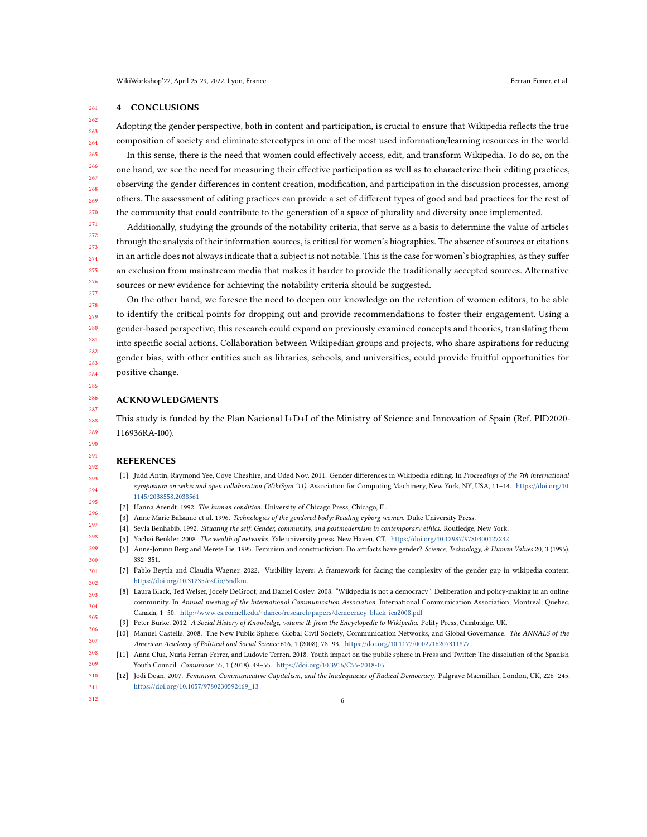#### 261 4 CONCLUSIONS

262 263 264 Adopting the gender perspective, both in content and participation, is crucial to ensure that Wikipedia reflects the true composition of society and eliminate stereotypes in one of the most used information/learning resources in the world.

265 266 267 268 269 270 In this sense, there is the need that women could effectively access, edit, and transform Wikipedia. To do so, on the one hand, we see the need for measuring their effective participation as well as to characterize their editing practices, observing the gender differences in content creation, modification, and participation in the discussion processes, among others. The assessment of editing practices can provide a set of different types of good and bad practices for the rest of the community that could contribute to the generation of a space of plurality and diversity once implemented.

271 272 273 274 275 276 277 Additionally, studying the grounds of the notability criteria, that serve as a basis to determine the value of articles through the analysis of their information sources, is critical for women's biographies. The absence of sources or citations in an article does not always indicate that a subject is not notable. This is the case for women's biographies, as they suffer an exclusion from mainstream media that makes it harder to provide the traditionally accepted sources. Alternative sources or new evidence for achieving the notability criteria should be suggested.

On the other hand, we foresee the need to deepen our knowledge on the retention of women editors, to be able to identify the critical points for dropping out and provide recommendations to foster their engagement. Using a gender-based perspective, this research could expand on previously examined concepts and theories, translating them into specific social actions. Collaboration between Wikipedian groups and projects, who share aspirations for reducing gender bias, with other entities such as libraries, schools, and universities, could provide fruitful opportunities for positive change.

# ACKNOWLEDGMENTS

This study is funded by the Plan Nacional I+D+I of the Ministry of Science and Innovation of Spain (Ref. PID2020- 116936RA-I00).

> 293 294

# **REFERENCES**

- <span id="page-5-5"></span>[1] Judd Antin, Raymond Yee, Coye Cheshire, and Oded Nov. 2011. Gender differences in Wikipedia editing. In Proceedings of the 7th international symposium on wikis and open collaboration (WikiSym '11). Association for Computing Machinery, New York, NY, USA, 11-14. [https://doi.org/10.](https://doi.org/10.1145/2038558.2038561) [1145/2038558.2038561](https://doi.org/10.1145/2038558.2038561)
- <span id="page-5-10"></span><span id="page-5-9"></span><span id="page-5-8"></span><span id="page-5-6"></span><span id="page-5-0"></span>295 296 [2] Hanna Arendt. 1992. The human condition. University of Chicago Press, Chicago, IL.
	- [3] Anne Marie Balsamo et al. 1996. Technologies of the gendered body: Reading cyborg women. Duke University Press.
	- [4] Seyla Benhabib. 1992. Situating the self: Gender, community, and postmodernism in contemporary ethics. Routledge, New York.
	- [5] Yochai Benkler. 2008. The wealth of networks. Yale university press, New Haven, CT. <https://doi.org/10.12987/9780300127232>
	- [6] Anne-Jorunn Berg and Merete Lie. 1995. Feminism and constructivism: Do artifacts have gender? Science, Technology, & Human Values 20, 3 (1995), 332–351.
	- [7] Pablo Beytía and Claudia Wagner. 2022. Visibility layers: A framework for facing the complexity of the gender gap in wikipedia content. [https://doi.org/10.31235/osf.io/5ndkm.](https://doi.org/10.31235/osf.io/5ndkm)
- <span id="page-5-7"></span><span id="page-5-4"></span><span id="page-5-3"></span>303 304 305 [8] Laura Black, Ted Welser, Jocely DeGroot, and Daniel Cosley. 2008. "Wikipedia is not a democracy": Deliberation and policy-making in an online community. In Annual meeting of the International Communication Association. International Communication Association, Montreal, Quebec, Canada, 1–50. <http://www.cs.cornell.edu/~danco/research/papers/democracy-black-ica2008.pdf>
	- [9] Peter Burke. 2012. A Social History of Knowledge, volume II: from the Encyclopedie to Wikipedia. Polity Press, Cambridge, UK.
	- [10] Manuel Castells. 2008. The New Public Sphere: Global Civil Society, Communication Networks, and Global Governance. The ANNALS of the American Academy of Political and Social Science 616, 1 (2008), 78–93. <https://doi.org/10.1177/0002716207311877>
- <span id="page-5-2"></span><span id="page-5-1"></span>308 309 [11] Anna Clua, Nuria Ferran-Ferrer, and Ludovic Terren. 2018. Youth impact on the public sphere in Press and Twitter: The dissolution of the Spanish Youth Council. Comunicar 55, 1 (2018), 49–55. <https://doi.org/10.3916/C55-2018-05>
- <span id="page-5-11"></span>310 311 [12] Jodi Dean. 2007. Feminism, Communicative Capitalism, and the Inadequacies of Radical Democracy. Palgrave Macmillan, London, UK, 226–245. [https://doi.org/10.1057/9780230592469\\_13](https://doi.org/10.1057/9780230592469_13)
- 312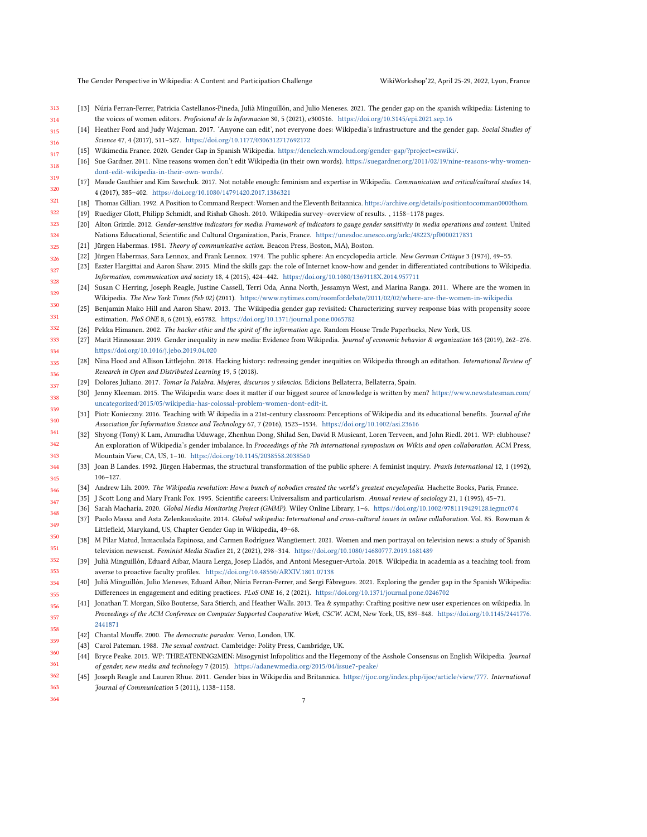<span id="page-6-31"></span>The Gender Perspective in Wikipedia: A Content and Participation Challenge WikiWorkshop'22, April 25-29, 2022, Lyon, France

<span id="page-6-9"></span><span id="page-6-8"></span>317

- 313 314 [13] Núria Ferran-Ferrer, Patricia Castellanos-Pineda, Julià Minguillón, and Julio Meneses. 2021. The gender gap on the spanish wikipedia: Listening to the voices of women editors. Profesional de la Informacion 30, 5 (2021), e300516. <https://doi.org/10.3145/epi.2021.sep.16>
- <span id="page-6-20"></span>315 316 [14] Heather Ford and Judy Wajcman. 2017. 'Anyone can edit', not everyone does: Wikipedia's infrastructure and the gender gap. Social Studies of Science 47, 4 (2017), 511–527. <https://doi.org/10.1177/0306312717692172>
	- [15] Wikimedia France. 2020. Gender Gap in Spanish Wikipedia. [https://denelezh.wmcloud.org/gender-gap/?project=eswiki/.](https://denelezh.wmcloud.org/gender-gap/?project=eswiki/)
- 318 [16] Sue Gardner. 2011. Nine reasons women don't edit Wikipedia (in their own words). [https://suegardner.org/2011/02/19/nine-reasons-why-women](https://suegardner.org/2011/02/19/nine-reasons-why-women-dont-edit-wikipedia-in-their-own-words/)[dont-edit-wikipedia-in-their-own-words/.](https://suegardner.org/2011/02/19/nine-reasons-why-women-dont-edit-wikipedia-in-their-own-words/)
- <span id="page-6-3"></span>319 320 [17] Maude Gauthier and Kim Sawchuk. 2017. Not notable enough: feminism and expertise in Wikipedia. Communication and critical/cultural studies 14, 4 (2017), 385–402. <https://doi.org/10.1080/14791420.2017.1386321>
- <span id="page-6-16"></span>321 [18] Thomas Gillian. 1992. A Position to Command Respect: Women and the Eleventh Britannica. [https://archive.org/details/positiontocomman0000thom.](https://archive.org/details/positiontocomman0000thom)
- <span id="page-6-17"></span>322 [19] Ruediger Glott, Philipp Schmidt, and Rishab Ghosh. 2010. Wikipedia survey–overview of results. , 1158–1178 pages.
- <span id="page-6-6"></span>323 324 [20] Alton Grizzle. 2012. Gender-sensitive indicators for media: Framework of indicators to gauge gender sensitivity in media operations and content. United Nations Educational, Scientific and Cultural Organization, Paris, France. <https://unesdoc.unesco.org/ark:/48223/pf0000217831>
- <span id="page-6-2"></span>325 [21] Jürgen Habermas. 1981. Theory of communicative action. Beacon Press, Boston, MA), Boston.
- <span id="page-6-22"></span>326 Jürgen Habermas, Sara Lennox, and Frank Lennox. 1974. The public sphere: An encyclopedia article. New German Critique 3 (1974), 49-55.
- <span id="page-6-0"></span>327 328 [23] Eszter Hargittai and Aaron Shaw. 2015. Mind the skills gap: the role of Internet know-how and gender in differentiated contributions to Wikipedia. Information, communication and society 18, 4 (2015), 424–442. <https://doi.org/10.1080/1369118X.2014.957711>
- <span id="page-6-28"></span>329 [24] Susan C Herring, Joseph Reagle, Justine Cassell, Terri Oda, Anna North, Jessamyn West, and Marina Ranga. 2011. Where are the women in Wikipedia. The New York Times (Feb 02) (2011). <https://www.nytimes.com/roomfordebate/2011/02/02/where-are-the-women-in-wikipedia>
- <span id="page-6-7"></span>330 331 [25] Benjamin Mako Hill and Aaron Shaw. 2013. The Wikipedia gender gap revisited: Characterizing survey response bias with propensity score estimation. PloS ONE 8, 6 (2013), e65782. <https://doi.org/10.1371/journal.pone.0065782>
- <span id="page-6-27"></span>332 [26] Pekka Himanen. 2002. The hacker ethic and the spirit of the information age. Random House Trade Paperbacks, New York, US.
- <span id="page-6-4"></span>333 334 [27] Marit Hinnosaar. 2019. Gender inequality in new media: Evidence from Wikipedia. Journal of economic behavior & organization 163 (2019), 262–276. <https://doi.org/10.1016/j.jebo.2019.04.020>
- <span id="page-6-1"></span>335 336 [28] Nina Hood and Allison Littlejohn. 2018. Hacking history: redressing gender inequities on Wikipedia through an editathon. International Review of Research in Open and Distributed Learning 19, 5 (2018).
- <span id="page-6-21"></span>337 [29] Dolores Juliano. 2017. Tomar la Palabra. Mujeres, discursos y silencios. Edicions Bellaterra, Bellaterra, Spain.
- <span id="page-6-14"></span>338 [30] Jenny Kleeman. 2015. The Wikipedia wars: does it matter if our biggest source of knowledge is written by men? [https://www.newstatesman.com/]( https://www.newstatesman.com/uncategorized/2015/05/wikipedia-has-colossal-problem-women-dont-edit-it) [uncategorized/2015/05/wikipedia-has-colossal-problem-women-dont-edit-it.]( https://www.newstatesman.com/uncategorized/2015/05/wikipedia-has-colossal-problem-women-dont-edit-it)
- <span id="page-6-13"></span>339 340 [31] Piotr Konieczny. 2016. Teaching with W ikipedia in a 21st-century classroom: Perceptions of Wikipedia and its educational benefits. Journal of the Association for Information Science and Technology 67, 7 (2016), 1523–1534. <https://doi.org/10.1002/asi.23616>
- <span id="page-6-12"></span>341 342 343 [32] Shyong (Tony) K Lam, Anuradha Uduwage, Zhenhua Dong, Shilad Sen, David R Musicant, Loren Terveen, and John Riedl. 2011. WP: clubhouse? An exploration of Wikipedia's gender imbalance. In Proceedings of the 7th international symposium on Wikis and open collaboration. ACM Press, Mountain View, CA, US, 1–10. <https://doi.org/10.1145/2038558.2038560>
- <span id="page-6-30"></span>344 345 [33] Joan B Landes. 1992. Jürgen Habermas, the structural transformation of the public sphere: A feminist inquiry. Praxis International 12, 1 (1992), 106–127.
- <span id="page-6-26"></span>346 [34] Andrew Lih. 2009. The Wikipedia revolution: How a bunch of nobodies created the world's greatest encyclopedia. Hachette Books, Paris, France.
- <span id="page-6-25"></span>347 [35] J Scott Long and Mary Frank Fox. 1995. Scientific careers: Universalism and particularism. Annual review of sociology 21, 1 (1995), 45–71.
- <span id="page-6-10"></span><span id="page-6-5"></span>348 [36] Sarah Macharia. 2020. Global Media Monitoring Project (GMMP). Wiley Online Library, 1–6. <https://doi.org/10.1002/9781119429128.iegmc074>
- 349 350 [37] Paolo Massa and Asta Zelenkauskaite. 2014. Global wikipedia: International and cross-cultural issues in online collaboration. Vol. 85. Rowman & Littlefield, Marykand, US, Chapter Gender Gap in Wikipedia, 49–68.
- <span id="page-6-11"></span>351 [38] M Pilar Matud, Inmaculada Espinosa, and Carmen Rodríguez Wangüemert. 2021. Women and men portrayal on television news: a study of Spanish television newscast. Feminist Media Studies 21, 2 (2021), 298–314. <https://doi.org/10.1080/14680777.2019.1681489>
- <span id="page-6-18"></span>352 353 [39] Julià Minguillón, Eduard Aibar, Maura Lerga, Josep Lladós, and Antoni Meseguer-Artola. 2018. Wikipedia in academia as a teaching tool: from averse to proactive faculty profiles. <https://doi.org/10.48550/ARXIV.1801.07138>
- <span id="page-6-19"></span>354 355 [40] Julià Minguillón, Julio Meneses, Eduard Aibar, Núria Ferran-Ferrer, and Sergi Fàbregues. 2021. Exploring the gender gap in the Spanish Wikipedia: Differences in engagement and editing practices. PLoS ONE 16, 2 (2021). <https://doi.org/10.1371/journal.pone.0246702>
- <span id="page-6-32"></span>356 357 358 [41] Jonathan T. Morgan, Siko Bouterse, Sara Stierch, and Heather Walls. 2013. Tea & sympathy: Crafting positive new user experiences on wikipedia. In Proceedings of the ACM Conference on Computer Supported Cooperative Work, CSCW. ACM, New York, US, 839–848. [https://doi.org/10.1145/2441776.](https://doi.org/10.1145/2441776.2441871) [2441871](https://doi.org/10.1145/2441776.2441871)
- <span id="page-6-24"></span><span id="page-6-23"></span>359 [42] Chantal Mouffe. 2000. The democratic paradox. Verso, London, UK.
	- [43] Carol Pateman. 1988. The sexual contract. Cambridge: Polity Press, Cambridge, UK.
- <span id="page-6-29"></span>360 361 [44] Bryce Peake. 2015. WP: THREATENING2MEN: Misogynist Infopolitics and the Hegemony of the Asshole Consensus on English Wikipedia. Journal of gender, new media and technology 7 (2015). <https://adanewmedia.org/2015/04/issue7-peake/>
- <span id="page-6-15"></span>362 363 [45] Joseph Reagle and Lauren Rhue. 2011. Gender bias in Wikipedia and Britannica. [https://ijoc.org/index.php/ijoc/article/view/777.](https://ijoc.org/index.php/ijoc/article/view/777) International Journal of Communication 5 (2011), 1138–1158.